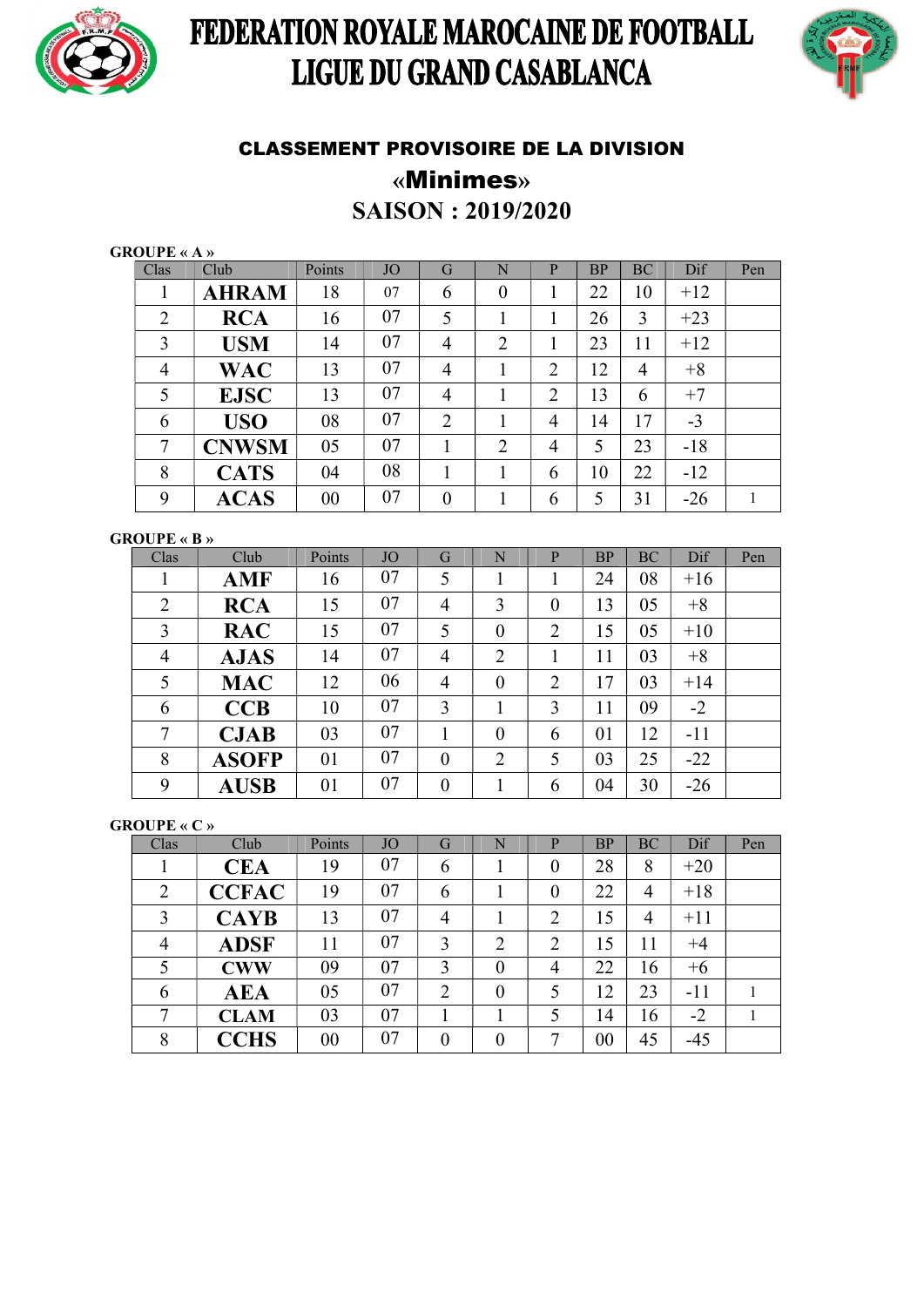

# FEDERATION ROYALE MAROCAINE DE FOOTBALL LIGUE DU GRAND CASABLANCA



### CLASSEMENT PROVISOIRE DE LA DIVISION «Minimes»

SAISON : 2019/2020

| <b>GROUPE « A »</b> |  |  |  |
|---------------------|--|--|--|
|---------------------|--|--|--|

|                     |    |                |       | Pen |
|---------------------|----|----------------|-------|-----|
| $\theta$            | 22 | 10             | $+12$ |     |
|                     | 26 | 3              | $+23$ |     |
| $\overline{2}$      | 23 | 11             | $+12$ |     |
| $\overline{2}$      | 12 | $\overline{4}$ | $+8$  |     |
| $\overline{2}$      | 13 | 6              | $+7$  |     |
| $\overline{4}$      | 14 | 17             | $-3$  |     |
| 2<br>$\overline{4}$ | 5  | 23             | $-18$ |     |
| 6<br>1              | 10 | 22             | $-12$ |     |
| 6                   | 5  | 31             | $-26$ | 1   |
|                     |    |                |       |     |

### GROUPE « B »

| Clas           | Club         | Points | <b>JO</b> | G                | N              | P              | <b>BP</b> | <b>BC</b> | Dif   | Pen |
|----------------|--------------|--------|-----------|------------------|----------------|----------------|-----------|-----------|-------|-----|
| 1              | <b>AMF</b>   | 16     | 07        | 5                |                |                | 24        | 08        | $+16$ |     |
| $\overline{2}$ | <b>RCA</b>   | 15     | 07        | $\overline{4}$   | 3              | $\theta$       | 13        | 05        | $+8$  |     |
| 3              | <b>RAC</b>   | 15     | 07        | 5                | $\overline{0}$ | 2              | 15        | 05        | $+10$ |     |
| $\overline{4}$ | <b>AJAS</b>  | 14     | 07        | $\overline{4}$   | $\overline{2}$ |                | 11        | 03        | $+8$  |     |
| 5              | <b>MAC</b>   | 12     | 06        | $\overline{4}$   | $\theta$       | $\overline{2}$ | 17        | 03        | $+14$ |     |
| 6              | CCB          | 10     | 07        | 3                |                | 3              | 11        | 09        | $-2$  |     |
| 7              | <b>CJAB</b>  | 03     | 07        | 1                | $\overline{0}$ | 6              | 01        | 12        | $-11$ |     |
| 8              | <b>ASOFP</b> | 01     | 07        | $\boldsymbol{0}$ | $\overline{2}$ | 5              | 03        | 25        | $-22$ |     |
| 9              | <b>AUSB</b>  | 01     | 07        | $\boldsymbol{0}$ |                | 6              | 04        | 30        | $-26$ |     |

GROUPE « C »

| Clas   | Club         | Points | <b>JO</b> | G              | N              | P        | <b>BP</b> | <b>BC</b>      | Dif   | Pen |
|--------|--------------|--------|-----------|----------------|----------------|----------|-----------|----------------|-------|-----|
|        | <b>CEA</b>   | 19     | 07        | 6              |                |          | 28        | 8              | $+20$ |     |
| 2      | <b>CCFAC</b> | 19     | 07        | 6              |                | $\theta$ | 22        | $\overline{4}$ | $+18$ |     |
| 3      | <b>CAYB</b>  | 13     | 07        | 4              |                | 2        | 15        | 4              | $+11$ |     |
| 4      | <b>ADSF</b>  | 11     | 07        | 3              | $\overline{2}$ | 2        | 15        | 11             | $+4$  |     |
| 5      | <b>CWW</b>   | 09     | 07        | 3              | $\overline{0}$ | 4        | 22        | 16             | $+6$  |     |
| 6      | <b>AEA</b>   | 05     | 07        | $\overline{2}$ | $\overline{0}$ | 5        | 12        | 23             | $-11$ |     |
| $\tau$ | <b>CLAM</b>  | 03     | 07        |                |                | 5        | 14        | 16             | $-2$  |     |
| 8      | <b>CCHS</b>  | 00     | 07        | $\overline{0}$ | $\overline{0}$ | ⇁        | 00        | 45             | $-45$ |     |